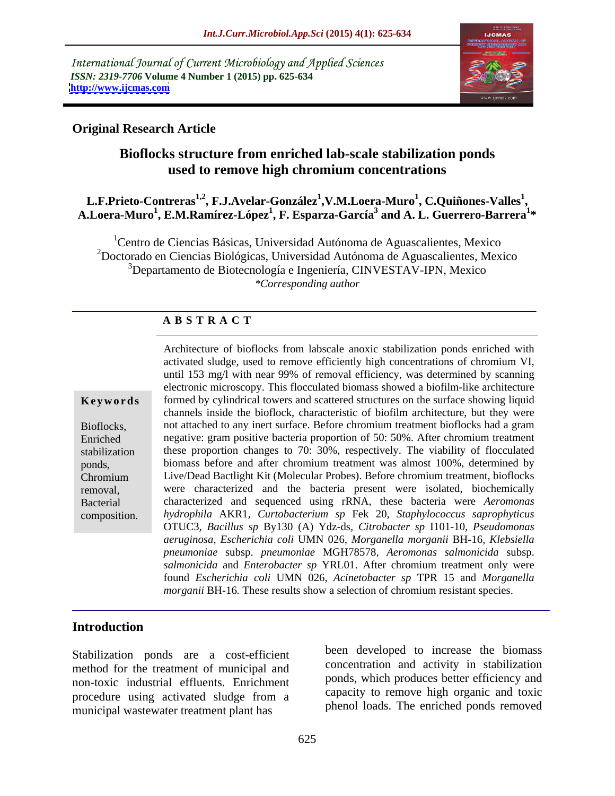International Journal of Current Microbiology and Applied Sciences *ISSN: 2319-7706* **Volume 4 Number 1 (2015) pp. 625-634 <http://www.ijcmas.com>**



## **Original Research Article**

## **Bioflocks structure from enriched lab-scale stabilization ponds used to remove high chromium concentrations**

### **L.F.Prieto-Contreras1,2 , F.J.Avelar-González<sup>1</sup> ,V.M.Loera-Muro<sup>1</sup>** , **C.Quiñones-Valles<sup>1</sup>,** L.F.Prieto-Contreras<sup>1,2</sup>, F.J.Avelar-González<sup>1</sup>,V.M.Loera-Muro<sup>1</sup>, C.Quiñones-Valles<sup>1</sup>,<br>A.Loera-Muro<sup>1</sup>, E.M.Ramírez-López<sup>1</sup>, F. Esparza-García<sup>3</sup> and A. L. Guerrero-Barrera<sup>1</sup>\* **\***

<sup>1</sup>Centro de Ciencias Básicas, Universidad Autónoma de Aguascalientes, Mexico 2Doctorado en Ciencias Biológicas, Universidad Autónoma de Aguascalientes, Mexico <sup>3</sup>Departamento de Biotecnología e Ingeniería, CINVESTAV-IPN, Mexico *\*Corresponding author*

## **A B S T R A C T**

composition.

Architecture of bioflocks from labscale anoxic stabilization ponds enriched with activated sludge, used to remove efficiently high concentrations of chromium VI, until 153 mg/l with near 99% of removal efficiency, was determined by scanning electronic microscopy. This flocculated biomass showed a biofilm-like architecture formed by cylindrical towers and scattered structures on the surface showing liquid **Ke ywo rds** channels inside the bioflock, characteristic of biofilm architecture, but they were not attached to any inert surface. Before chromium treatment bioflocks had a gram Bioflocks, Enriched negative: gram positive bacteria proportion of 50: 50%. After chromium treatment stabilization these proportion changes to 70: 30%, respectively. The viability of flocculated biomass before and after chromium treatment was almost 100%, determined by ponds, Live/Dead Bactlight Kit (Molecular Probes). Before chromium treatment, bioflocks Chromium were characterized and the bacteria present were isolated, biochemically removal, characterized and sequenced using rRNA, these bacteria were *Aeromonas*  Bacterial *hydrophila* AKR1*, Curtobacterium sp* Fek 20*, Staphylococcus saprophyticus* OTUC3*, Bacillus sp* By130 (A) Ydz-ds*, Citrobacter sp* I101-10*, Pseudomonas aeruginosa, Escherichia coli* UMN 026*, Morganella morganii* BH-16*, Klebsiella pneumoniae* subsp. *pneumoniae* MGH78578*, Aeromonas salmonicida* subsp. *salmonicida* and *Enterobacter sp* YRL01. After chromium treatment only were found *Escherichia coli* UMN 026,*Acinetobacter sp* TPR 15 and *Morganella morganii* BH-16*.* These results show a selection of chromium resistant species.

## **Introduction**

Stabilization ponds are a cost-efficient method for the treatment of municipal and non-toxic industrial effluents. Enrichment procedure using activated sludge from a municipal wastewater treatment plant has

been developed to increase the biomass concentration and activity in stabilization ponds, which produces better efficiency and capacity to remove high organic and toxic phenol loads. The enriched ponds removed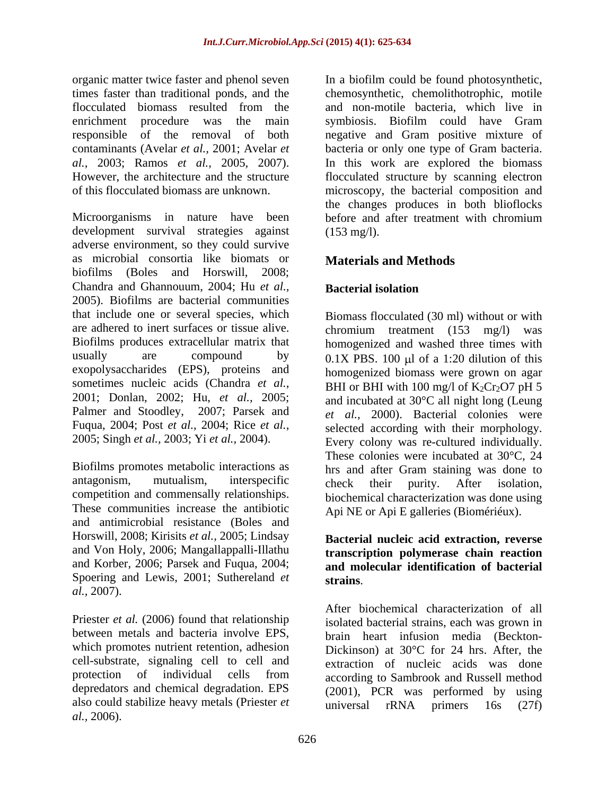enrichment procedure was the main symbiosis. Biofilm could have Gram

Microorganisms in nature have been before and after treatment with chromium development survival strategies against (153 mg/l). adverse environment, so they could survive as microbial consortia like biomats or biofilms (Boles and Horswill, 2008; Chandra and Ghannouum, 2004; Hu *et al.,* 2005). Biofilms are bacterial communities that include one or several species, which are adhered to inert surfaces or tissue alive. chromium treatment (153 mg/l) was Biofilms produces extracellular matrix that homogenized and washed three times with usually are compound by  $0.1X$  PBS. 100  $\mu$ l of a 1:20 dilution of this exopolysaccharides (EPS), proteins and sometimes nucleic acids (Chandra *et al.,* 2001; Donlan, 2002; Hu, *et al.,* 2005; and incubated at 30°C all night long (Leung Palmer and Stoodley, 2007; Parsek and Fuqua, 2004; Post *et al.,* 2004; Rice *et al.,*

Biofilms promotes metabolic interactions as These communities increase the antibiotic and antimicrobial resistance (Boles and Horswill, 2008; Kirisits *et al.,* 2005; Lindsay and Von Holy, 2006; Mangallappalli-Illathu and Korber, 2006; Parsek and Fuqua, 2004; Spoering and Lewis, 2001; Suthereland *et* strains. *al.,* 2007).

Priester *et al.* (2006) found that relationship which promotes nutrient retention, adhesion cell-substrate, signaling cell to cell and depredators and chemical degradation. EPS also could stabilize heavy metals (Priester *et iniversal* rRNA primers 16s (27f) *al.,* 2006).

organic matter twice faster and phenol seven In a biofilm could be found photosynthetic, times faster than traditional ponds, and the chemosynthetic, chemolithotrophic, motile flocculated biomass resulted from the and non-motile bacteria, which live in responsible of the removal of both negative and Gram positive mixture of contaminants (Avelar *et al.,* 2001; Avelar *et*  bacteria or only one type of Gram bacteria. *al.,* 2003; Ramos *et al.,* 2005, 2007). In this work are explored the biomass However, the architecture and the structure flocculated structure by scanning electron of this flocculated biomass are unknown. microscopy, the bacterial composition and and non-motile bacteria, which live in symbiosis. Biofilm could have Gram the changes produces in both blioflocks before and after treatment with chromium (153 mg/l).

## **Materials and Methods**

## **Bacterial isolation**

2005; Singh *et al.,* 2003; Yi *et al.,* 2004). Every colony was re-cultured individually. antagonism, mutualism, interspecific check their purity. After isolation. competition and commensally relationships. biochemical characterization was done using Biomass flocculated (30 ml) without or with homogenized biomass were grown on agar BHI or BHI with 100 mg/l of  $K_2Cr_2O7$  pH 5 *et al.,* 2000). Bacterial colonies were selected according with their morphology. These colonies were incubated at 30°C, 24 hrs and after Gram staining was done to check their purity. After isolation, Api NE or Api E galleries (Biomériéux).

## **Bacterial nucleic acid extraction, reverse transcription polymerase chain reaction and molecular identification of bacterial**

between metals and bacteria involve EPS, brain heart infusion media (Beckton protection of individual cells from according to Sambrook and Russell method **strains**.<br>After biochemical characterization of all isolated bacterial strains, each was grown in Dickinson) at 30°C for 24 hrs. After, the extraction of nucleic acids was done according to Sambrook and Russell method (2001), PCR was performed by using universal rRNA primers 16s (27f)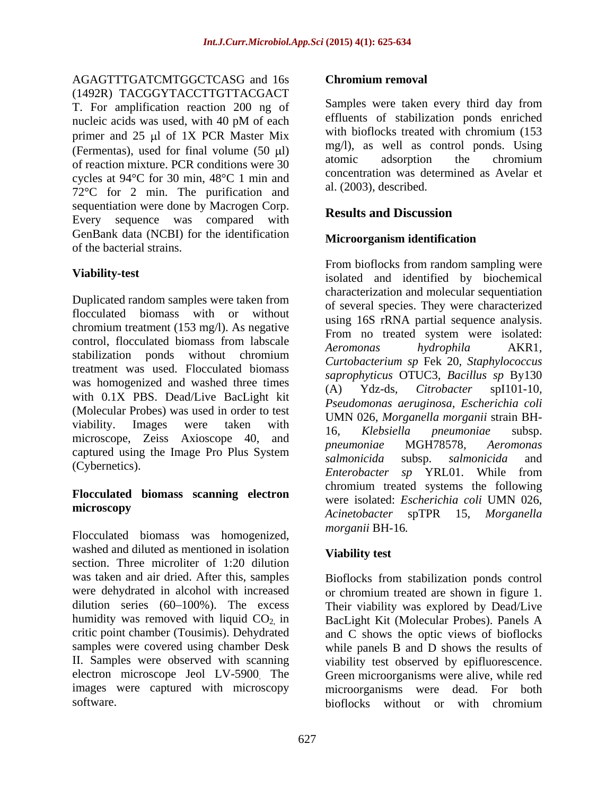## AGAGTTTGATCMTGGCTCASG and 16s Chromium removal

(1492R) TACGGYTACCTTGTTACGACT<br>
T For amplification reaction 200 ng of Samples were taken every third day from T. For amplification reaction 200 ng of nucleic acids was used, with 40 pM of each<br>method is entitlents of stabilization ponds enriched<br>with bioflocks treated with chromium (153 primer and  $25 \mu l$  of 1X PCR Master Mix (Fermentas), used for final volume  $(50 \mu l)$  mg/l), as well as control ponds. Using<br>adsorption the chromium of reaction mixture. PCR conditions were 30 cycles at 94°C for 30 min, 48°C 1 min and 72°C for 2 min. The purification and sequentiation were done by Macrogen Corp.<br> **Results and Discussion** Every sequence was compared with GenBank data (NCBI) for the identification<br>Microorganism identification of the bacterial strains.

Duplicated random samples were taken from flocculated biomass with or without using 16S rRNA partial sequence analysis. chromium treatment (153 mg/l). As negative<br>From no treated system were isolated: control, flocculated biomass from labscale  $A$  aromangs  $A$  by  $A$   $Y$   $D$  1 stabilization ponds without chromium  $Curtobactarium$  an  $Fok 20$  Staphylogogous stabilization polius whilout chronium<br>treatment was used. Flocculated biomass and control of the CTUC2 B 11 Polium Polium was homogenized and washed three times  $(A)$   $Ydz-ds$ , *Citrobacter* spl101-10. with 0.1X PBS. Dead/Live BacLight kit Pseudomonas aeruginosa, Escherichia coli (Molecular Probes) was used in order to test viability. Images were taken with  $\frac{60.000 \text{ m/s}}{16}$   $\frac{60.000 \text{ m/s}}{4}$  regumentation with viability. Images were taken with 16, Klebsiella pneumoniae subsp.<br>microscope, Zeiss Axioscope 40, and pneumoniae MGH78578, Aeromonas captured using the Image Pro Plus System<br>
salmonicida subsp. salmonicida and

# **Flocculated biomass scanning electron**

Flocculated biomass was homogenized, washed and diluted as mentioned in isolation **Viability test** section. Three microliter of 1:20 dilution was taken and air dried. After this, samples were dehydrated in alcohol with increased or chromium treated are shown in figure 1. dilution series (60–100%). The excess Their viability was explored by Dead/Live humidity was removed with liquid CO<sub>2</sub>, in BacLight Kit (Molecular Probes). Panels A critic point chamber (Tousimis). Dehydrated and C shows the optic views of bioflocks samples were covered using chamber Desk while panels B and D shows the results of II. Samples were observed with scanning viability test observed by epifluorescence. electron microscope Jeol LV-5900. The Green microorganisms were alive, while red images were captured with microscopy microorganisms were dead. For both

## **Chromium removal**

Samples were taken every third day from effluents of stabilization ponds enriched with bioflocks treated with chromium (153 mg/l), as well as control ponds. Using atomic adsorption the chromium concentration was determined as Avelar et al. (2003), described.

## **Results and Discussion**

## **Microorganism identification**

**Viability-test** isolated and identified by biochemical (Cybernetics). Samoncial subsp. samoncial subsp. samoncial and subsp. samoncial subsp. samoncial and  $\sum_{n=1}^{\infty}$ microscopy and the solution of the second contractor of the second of the second second second second second second second second second second second second second second second second second second second second second s From bioflocks from random sampling were characterization and molecular sequentiation of several species. They were characterized using 16S rRNA partial sequence analysis. From no treated system were isolated: *Aeromonas hydrophila* AKR1*, Curtobacterium sp* Fek <sup>20</sup>*, Staphylococcus saprophyticus* OTUC3*, Bacillus sp* By130 (A) Ydz-ds*, Citrobacter* spI101-10*, Pseudomonas aeruginosa, Escherichia coli* UMN 026*, Morganella morganii* strain BH- 16*, Klebsiella pneumoniae* subsp. *pneumoniae* MGH78578*, Aeromonas salmonicida* subsp. *salmonicida* and *Enterobacter sp* YRL01. While from chromium treated systems the following were isolated: *Escherichia coli* UMN 026, *Acinetobacter* spTPR 15, *Morganella morganii* BH-16*.*

## **Viability test**

software. bioflocks without or with chromiumBioflocks from stabilization ponds control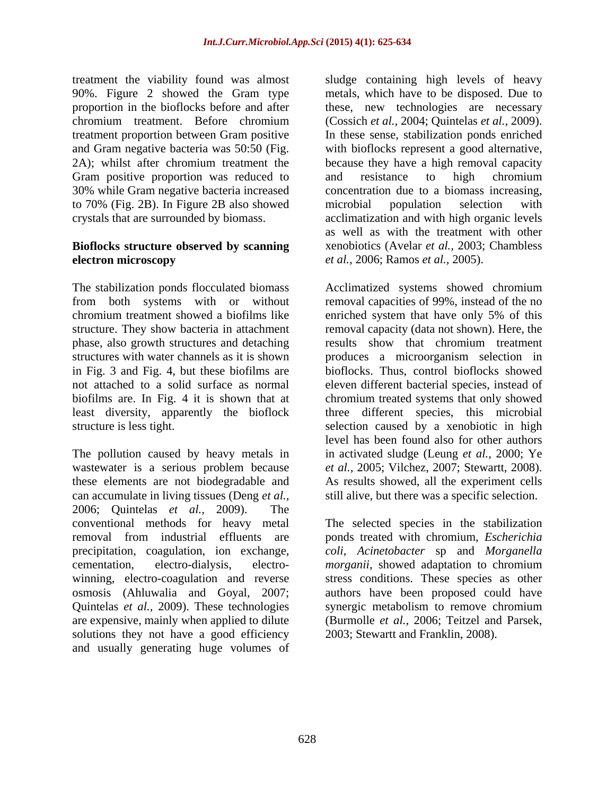Gram positive proportion was reduced to and resistance to high chromium 30% while Gram negative bacteria increased to 70% (Fig. 2B). In Figure 2B also showed

## **Bioflocks structure observed by scanning electron microscopy** *et al.,* 2006; Ramos *et al.,* 2005).

phase, also growth structures and detaching results show that chromium treatment

The pollution caused by heavy metals in wastewater is a serious problem because *et al.*, 2005; Vilchez, 2007; Stewartt, 2008). these elements are not biodegradable and can accumulate in living tissues (Deng *et al.,* 2006; Quintelas *et al.,* 2009). The conventional methods for heavy metal The selected species in the stabilization removal from industrial effluents are ponds treated with chromium, *Escherichia*  precipitation, coagulation, ion exchange, *coli*, *Acinetobacter* sp and *Morganella*  cementation, electro-dialysis, electro- *morganii*, showed adaptation to chromium winning, electro-coagulation and reverse stress conditions. These species as other osmosis (Ahluwalia and Goyal, 2007; authors have been proposed could have Quintelas *et al.*, 2009). These technologies synergic metabolism to remove chromium are expensive, mainly when applied to dilute (Burmolle *et al.,* 2006; Teitzel and Parsek, solutions they not have a good efficiency and usually generating huge volumes of

treatment the viability found was almost sludge containing high levels of heavy 90%. Figure 2 showed the Gram type metals, which have to be disposed. Due to proportion in the bioflocks before and after these, new technologies are necessary chromium treatment. Before chromium (Cossich *et al.,* 2004; Quintelas *et al.,* 2009). treatment proportion between Gram positive In these sense, stabilization ponds enriched and Gram negative bacteria was 50:50 (Fig. with bioflocks represent a good alternative, 2A); whilst after chromium treatment the because they have a high removal capacity crystals that are surrounded by biomass. acclimatization and with high organic levels and resistance to high chromium concentration due to a biomass increasing, microbial population selection with as well as with the treatment with other xenobiotics (Avelar *et al.,* 2003; Chambless

The stabilization ponds flocculated biomass Acclimatized systems showed chromium from both systems with or without removal capacities of 99%, instead of the no chromium treatment showed a biofilms like enriched system that have only 5% of this structure. They show bacteria in attachment removal capacity (data not shown). Here, the structures with water channels as it is shown produces a microorganism selection in in Fig. 3 and Fig. 4, but these biofilms are bioflocks. Thus, control bioflocks showed not attached to a solid surface as normal eleven different bacterial species, instead of biofilms are. In Fig. 4 it is shown that at chromium treated systems that only showed least diversity, apparently the bioflock three different species, this microbial structure is less tight. selection caused by a xenobiotic in high results show that chromium treatment level has been found also for other authors in activated sludge (Leung *et al.,* 2000; Ye *et al.,* 2005; Vilchez, 2007; Stewartt, 2008).<br>As results showed, all the experiment cells still alive, but there was a specific selection.

> *morganii*, showed adaptation to chromium 2003; Stewartt and Franklin, 2008).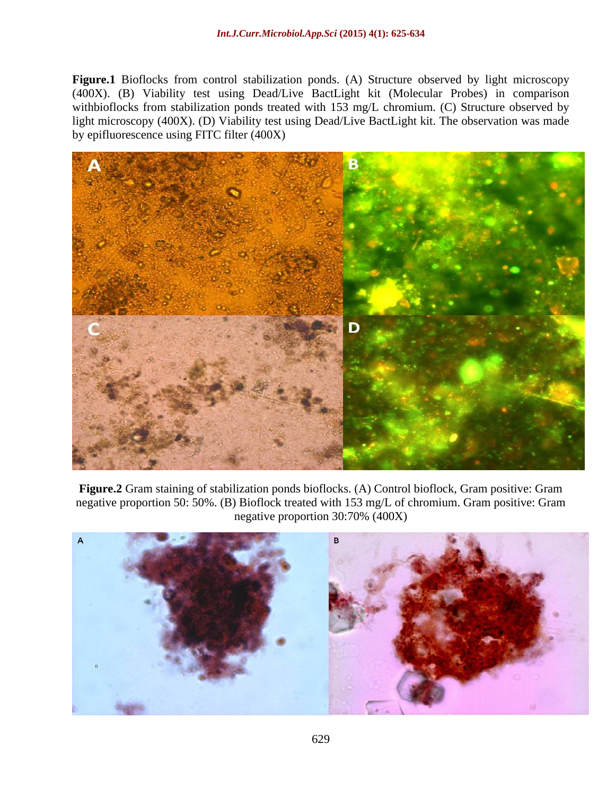**Figure.1** Bioflocks from control stabilization ponds. (A) Structure observed by light microscopy (400X). (B) Viability test using Dead/Live BactLight kit (Molecular Probes) in comparison withbioflocks from stabilization ponds treated with 153 mg/L chromium. (C) Structure observed by light microscopy (400X). (D) Viability test using Dead/Live BactLight kit. The observation was made by epifluorescence using FITC filter (400X)



**Figure.2** Gram staining of stabilization ponds bioflocks. (A) Control bioflock, Gram positive: Gram negative proportion 50: 50%. (B) Bioflock treated with 153 mg/L of chromium. Gram positive: Gram negative proportion 30:70% (400X)

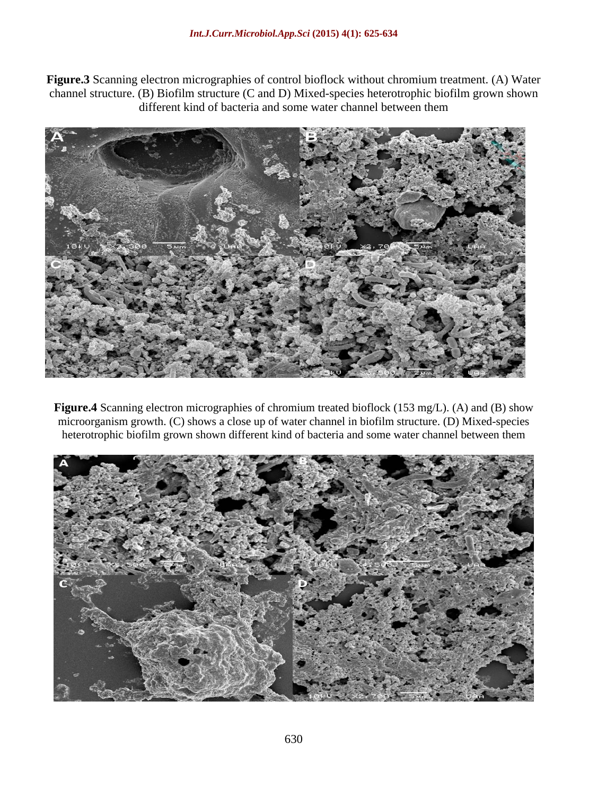**Figure.3** Scanning electron micrographies of control bioflock without chromium treatment. (A) Water channel structure. (B) Biofilm structure (C and D) Mixed-species heterotrophic biofilm grown shown different kind of bacteria and some water channel between them



**Figure.4** Scanning electron micrographies of chromium treated bioflock (153 mg/L). (A) and (B) show microorganism growth. (C) shows a close up of water channel in biofilm structure. (D) Mixed-species heterotrophic biofilm grown shown different kind of bacteria and some water channel between them **A**

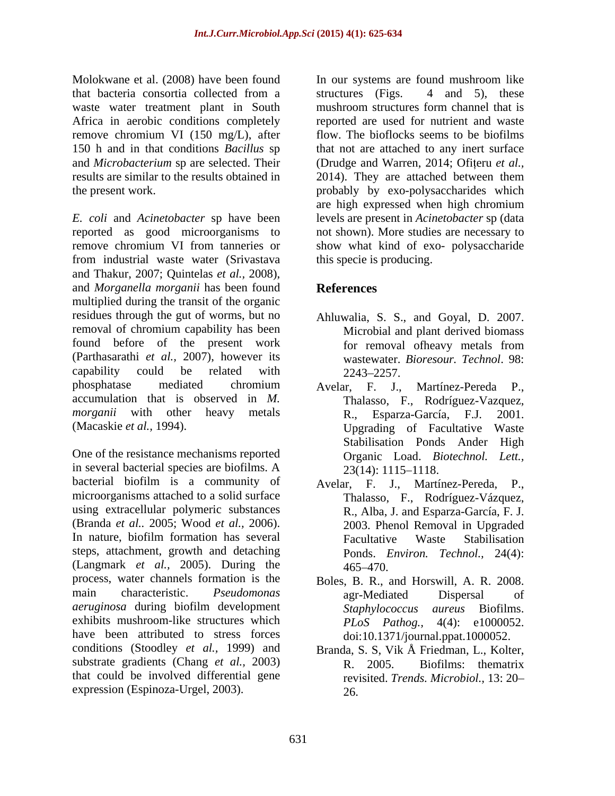waste water treatment plant in South mushroom structures form channel that is Africa in aerobic conditions completely

*E. coli* and *Acinetobacter* sp have been levels are present in *Acinetobacter* sp (data reported as good microorganisms to remove chromium VI from tanneries or show what kind of exo-polysaccharide from industrial waste water (Srivastava and Thakur, 2007; Quintelas *et al.,* 2008), and *Morganella morganii* has been found multiplied during the transit of the organic residues through the gut of worms, but no Ahluwalia, S. S., and Goyal, D. 2007. removal of chromium capability has been found before of the present work for removal of heavy metals from (Parthasarathi *et al.,* 2007), however its capability could be related with  $2243-2257$ . phosphatase mediated chromium Ayelar, F. J., Martínez-Pereda P., accumulation that is observed in *M. morganii* with other heavy metals R., Esparza-García, F.J. 2001.

One of the resistance mechanisms reported in several bacterial species are biofilms. A 23(14): 1115–1118. bacterial biofilm is a community of Avelar, F. J., Martínez-Pereda, P., microorganisms attached to a solid surface using extracellular polymeric substances (Branda *et al..* 2005; Wood *et al.,* 2006). 2003. Phenol Removal in Upgraded In nature, biofilm formation has several Facultative Waste Stabilisation steps, attachment, growth and detaching (Langmark *et al.,* 2005). During the process, water channels formation is the Boles, B. R., and Horswill, A. R. 2008. main characteristic. *Pseudomonas aeruginosa* during biofilm development exhibits mushroom-like structures which  $PLoS$   $PLoS$   $Pathog$ ,  $4(4)$ : e1000052. have been attributed to stress forces conditions (Stoodley *et al.,* 1999) and Branda, S. S, Vik Å Friedman, L., Kolter, substrate gradients (Chang *et al.*, 2003) R. 2005. Biofilms: the matrix that could be involved differential gene expression (Espinoza-Urgel, 2003).

Molokwane et al. (2008) have been found In our systems are found mushroom like that bacteria consortia collected from a remove chromium VI (150 mg/L), after flow. The bioflocks seems to be biofilms 150 h and in that conditions *Bacillus* sp that not are attached to any inert surface and *Microbacterium* sp are selected. Their (Drudge and Warren, 2014; Ofițeru *et al.*, results are similar to the results obtained in 2014). They are attached between them the present work. probably by exo-polysaccharides which structures (Figs. 4 and 5), these mushroom structures form channel that is reported are used for nutrient and waste are high expressed when high chromium not shown). More studies are necessary to show what kind of exo- polysaccharide this specie is producing.

## **References**

- Microbial and plant derived biomass for removal ofheavy metals from wastewater. *Bioresour. Technol*. 98: 2243 2257.
- (Macaskie *et al.,* 1994). Upgrading of Facultative Waste Avelar, F. J., Martínez-Pereda P., Thalasso, F., Rodríguez-Vazquez, Esparza-García, F.J. Stabilisation Ponds Ander High Organic Load. *Biotechnol. Lett.,*  $23(14): 1115 - 1118.$ 
	- Thalasso, F., Rodríguez-Vázquez, R., Alba, J. and Esparza-García, F. J. Facultative Waste Stabilisation Ponds. *Environ. Technol.,* 24(4): 465 470.
	- agr-Mediated Dispersal of *Staphylococcus aureus* Biofilms. *PLoS Pathog.,* 4(4): e1000052. doi:10.1371/journal.ppat.1000052.
	- R. 2005. Biofilms: thematrix revisited. *Trends. Microbiol.,* 13: 20 26.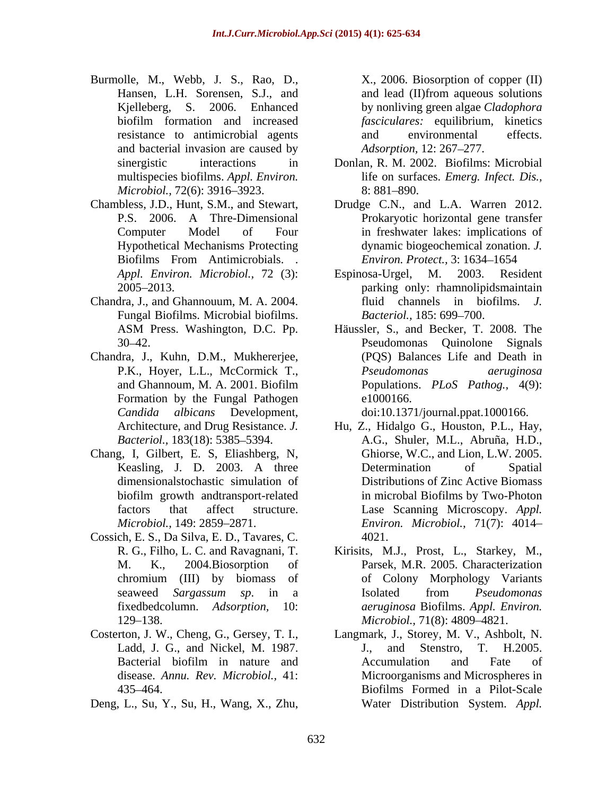- Burmolle, M., Webb, J. S., Rao, D., X., 2006. Biosorption of copper (II) Hansen, L.H. Sorensen, S.J., and and lead (II) from aqueous solutions Kjelleberg, S. 2006. Enhanced by nonliving green algae *Cladophora*  biofilm formation and increased *fasciculares*: equilibrium, kinetics resistance to antimicrobial agents and environmental effects. and bacterial invasion are caused by *Microbiol.,* 72(6): 3916–3923. 8: 881–890.
- 
- Chandra, J., and Ghannouum, M. A. 2004. Fungal Biofilms. Microbial biofilms. Bacteriol., 185: 699–700.
- Chandra, J., Kuhn, D.M., Mukhererjee, Formation by the Fungal Pathogen e1000166. *Candida albicans* Development, doi:10.1371/journal.ppat.1000166.
- Chang, I, Gilbert, E. S, Eliashberg, N,
- Cossich, E. S., Da Silva, E. D., Tavares, C.
- 
- 

and lead (II)from aqueous solutions *fasciculares:* equilibrium, kinetics and environmental effects. *Adsorption,* 12: 267–277.

- sinergistic interactions in Donlan, R. M. 2002. Biofilms: Microbial multispecies biofilms. *Appl. Environ.* life on surfaces. *Emerg. Infect. Dis.,*  $8: 881 - 890.$
- Chambless, J.D., Hunt, S.M., and Stewart, Drudge C.N., and L.A. Warren 2012. P.S. 2006. A Thre-Dimensional Prokaryotic horizontal gene transfer Computer Model of Four in freshwater lakes: implications of Hypothetical Mechanisms Protecting dynamic biogeochemical zonation. *J.*  Biofilms From Antimicrobials. . *Environ. Protect.*, 3:1634–1654 *Environ. Protect.,* 3: 1634-1654
	- *Appl. Environ. Microbiol.,* 72 (3): 2005 2013. parking only: rhamnolipidsmaintain Espinosa-Urgel, M. 2003. Resident fluid channels in biofilms. *J. Bacteriol.,* 185: 699–700.
	- ASM Press. Washington, D.C. Pp. 30–42. Pseudomonas Quinolone Signals P.K., Hoyer, L.L., McCormick T., *Pseudomonas aeruginosa* and Ghannoum, M. A. 2001. Biofilm Populations. PLoS Pathog., 4(9): Häussler, S., and Becker, T. 2008. The Pseudomonas Quinolone Signals (PQS) Balances Life and Death in *Pseudomonas aeruginosa* Populations. *PLoS Pathog.,* 4(9): e1000166.

- Architecture, and Drug Resistance. *J.*  Hu, Z., Hidalgo G., Houston, P.L., Hay, *Bacteriol.*, 183(18): 5385–5394. A.G., Shuler, M.L., Abruña, H.D., Keasling, J. D. 2003. A three Determination of Spatial dimensionalstochastic simulation of Distributions of Zinc Active Biomass biofilm growth andtransport-related factors that affect structure. Lase Scanning Microscopy. *Appl. Microbiol.,* 149: 2859 2871. *Environ. Microbiol.,* 71(7): 4014 Burnolli, M., Webb, J. S., Roto, D., P., 2005. Biosofpison of copper (II)<br>
Kigitleberg, S., 2006. Echanced by moltining great Gadewine resistence to antimoded agents are the moltimation of the present and the constrained Ghiorse, W.C., and Lion, L.W. 2005. Determination of Spatial in microbal Biofilms by Two-Photon 4021.
	- R. G., Filho, L. C. and Ravagnani, T. Kirisits, M.J., Prost, L., Starkey, M., M. K., 2004.Biosorption of Parsek, M.R. 2005. Characterization chromium (III) by biomass of seaweed *Sargassum sp*. in a fixedbedcolumn. *Adsorption,* 10: *aeruginosa* Biofilms. *Appl. Environ.* 129 138. *Microbiol.,* 71(8): 4809 4821. of Colony Morphology Variants Isolated from *Pseudomonas*
- Costerton, J. W., Cheng, G., Gersey, T. I., Langmark, J., Storey, M. V., Ashbolt, N. Ladd, J. G., and Nickel, M. 1987. J., and Stenstro, T. H.2005. Bacterial biofilm in nature and <br>Accumulation and Fate of disease. *Annu. Rev. Microbiol.,* 41: Microorganisms and Microspheres in 435 464. Biofilms Formed in a Pilot-Scale J., and Stenstro, T. H.2005. Accumulation and Fate of Water Distribution System. *Appl.*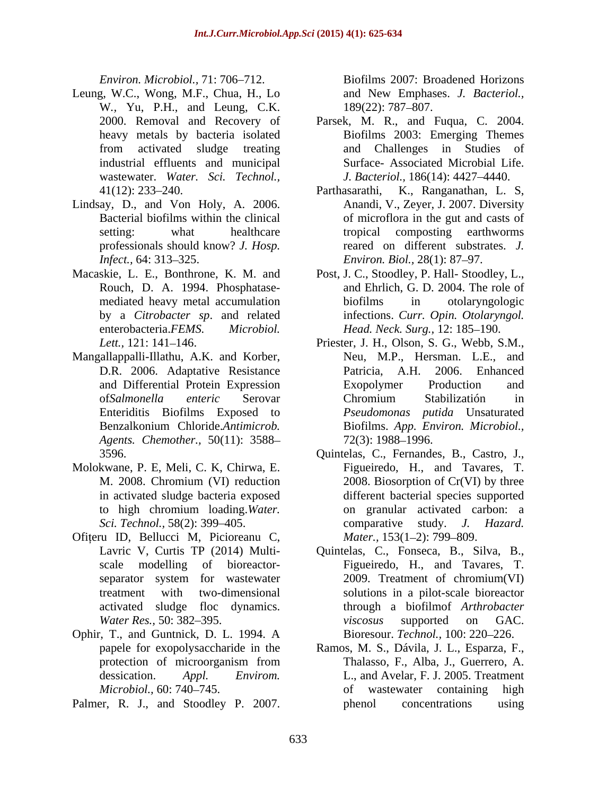- Leung, W.C., Wong, M.F., Chua, H., Lo W*.,* Yu, P.H., and Leung, C.K. industrial effluents and municipal wastewater. *Water. Sci. Technol., Fracemas, Marchideles 131:325.* Fig. 21, and New 2007. Biofilms 2007.<br> **Parmer, M.C.** We provide the state of the state of the state of the state of the state of the state of the state of the state of the state of the st
- Lindsay, D., and Von Holy, A. 2006. Anandi, V., Zeyer, J. 2007. Diversity
- Macaskie, L. E., Bonthrone, K. M. and Post, J. C., Stoodley, P. Hall- Stoodley, L.,
- Mangallappalli-Illathu, A.K. and Korber, *Agents. Chemother.,* 50(11): 3588
- Molokwane, P. E, Meli, C. K, Chirwa, E.
- Ofiteru ID, Bellucci M, Picioreanu C,
- Ophir, T., and Guntnick, D. L. 1994. A
- 

*Environ. Microbiol., 71:706-712.* Biofilms 2007: Broadened Horizons and New Emphases. *J. Bacteriol.,* 189(22): 787–807.

- 2000. Removal and Recovery of Parsek, M. R., and Fuqua, C. 2004. heavy metals by bacteria isolated Biofilms 2003: Emerging Themes from activated sludge treating and Challenges in Studies of and Challenges in Studies of Surface- Associated Microbial Life. *J. Bacteriol.,* 186(14): 4427-4440.
- 41(12): 233–240. Parthasarathi, K., Ranganathan, L. S. Bacterial biofilms within the clinical of microflora in the gut and casts of setting: what healthcare tropical composting earthworms professionals should know? *J. Hosp*. reared on different substrates. *J. Infect.*, 64: 313–325. *Environ. Biol.*, 28(1): 87–97. Parthasarathi, K., Ranganathan, L. S, Anandi, V., Zeyer, J. 2007. Diversity tropical composting earthworms
- Rouch, D. A. 1994. Phosphatase- and Ehrlich, G. D. 2004. The role of mediated heavy metal accumulation biofilms in otolaryngologic by a *Citrobacter sp*. and related infections. *Curr. Opin. Otolaryngol.* enterobacteria.*FEMS. Microbiol. Head. Neck. Surg.,* 12: 185–190. biofilms in otolaryngologic
- *Lett.*, 121: 141–146. **Priester, J. H., Olson, S. G., Webb, S.M.**, D.R. 2006. Adaptative Resistance Patricia, A.H. 2006. Enhanced and Differential Protein Expression of*Salmonella enteric* Serovar Enteriditis Biofilms Exposed to *Pseudomonas putida* Unsaturated Benzalkonium Chloride.*Antimicrob.*  Neu, M.P., Hersman. L.E., and Patricia, A.H. 2006. Enhanced Exopolymer Production and Chromium Stabilizatión in Biofilms. *App. Environ. Microbiol.,* 72(3): 1988–1996.
- 3596. Quintelas, C., Fernandes, B., Castro, J., M. 2008. Chromium (VI) reduction 2008. Biosorption of Cr(VI) by three in activated sludge bacteria exposed different bacterial species supported to high chromium loading.*Water. Sci. Technol.,* 58(2): 399 405. comparative study. *J. Hazard.* Quintelas, C., Fernandes, B., Castro, J., Figueiredo, H., and Tavares, T. 2008. Biosorption of Cr(VI) by three on granular activated carbon: a *Mater.,* 153(1-2): 799-809.
- Lavric V, Curtis TP (2014) Multi- Quintelas, C., Fonseca, B., Silva, B., scale modelling of bioreactor- Figueiredo, H., and Tavares, T. separator system for wastewater 2009. Treatment of chromium(VI) treatment with two-dimensional solutions in a pilot-scale bioreactor activated sludge floc dynamics. through a biofilmof *Arthrobacter Water Res.,* 50: 382–395. The *viscosus* supported on GAC. 2009. Treatment of chromium(VI) *viscosus* supported on GAC. Bioresour. *Technol.*, 100: 220-226.
- papele for exopolysaccharide in the Ramos, M. S., Dávila, J. L., Esparza, F., protection of microorganism from Thalasso, F., Alba, J., Guerrero, A. dessication. *Appl. Envirom.* L., and Avelar, F. J. 2005. Treatment Microbiol., 60: 740–745. The containing containing high Thalasso, F., Alba, J., Guerrero, A. phenol concentrations using